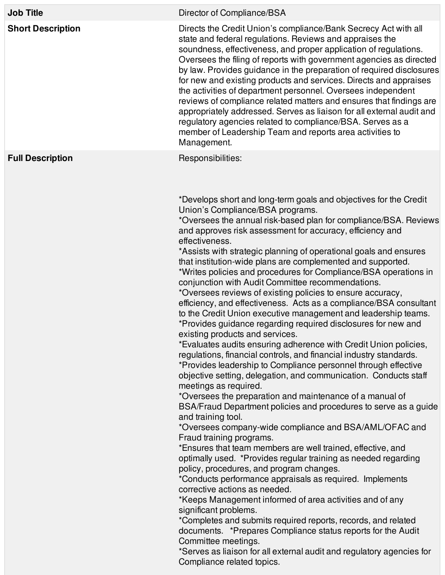| <b>Job Title</b>         | Director of Compliance/BSA                                                                                                                                                                                                                                                                                                                                                                                                                                                                                                                                                                                                                                                                                                                                                                                                                                                                                                                                                                                                                                                                                  |
|--------------------------|-------------------------------------------------------------------------------------------------------------------------------------------------------------------------------------------------------------------------------------------------------------------------------------------------------------------------------------------------------------------------------------------------------------------------------------------------------------------------------------------------------------------------------------------------------------------------------------------------------------------------------------------------------------------------------------------------------------------------------------------------------------------------------------------------------------------------------------------------------------------------------------------------------------------------------------------------------------------------------------------------------------------------------------------------------------------------------------------------------------|
| <b>Short Description</b> | Directs the Credit Union's compliance/Bank Secrecy Act with all<br>state and federal regulations. Reviews and appraises the<br>soundness, effectiveness, and proper application of regulations.<br>Oversees the filing of reports with government agencies as directed<br>by law. Provides guidance in the preparation of required disclosures<br>for new and existing products and services. Directs and appraises<br>the activities of department personnel. Oversees independent<br>reviews of compliance related matters and ensures that findings are<br>appropriately addressed. Serves as liaison for all external audit and<br>regulatory agencies related to compliance/BSA. Serves as a<br>member of Leadership Team and reports area activities to<br>Management.                                                                                                                                                                                                                                                                                                                                |
| <b>Full Description</b>  | Responsibilities:<br>*Develops short and long-term goals and objectives for the Credit<br>Union's Compliance/BSA programs.<br>*Oversees the annual risk-based plan for compliance/BSA. Reviews<br>and approves risk assessment for accuracy, efficiency and<br>effectiveness.<br>*Assists with strategic planning of operational goals and ensures<br>that institution-wide plans are complemented and supported.<br>*Writes policies and procedures for Compliance/BSA operations in<br>conjunction with Audit Committee recommendations.<br>*Oversees reviews of existing policies to ensure accuracy,<br>efficiency, and effectiveness. Acts as a compliance/BSA consultant<br>to the Credit Union executive management and leadership teams.<br>*Provides guidance regarding required disclosures for new and<br>existing products and services.<br>*Evaluates audits ensuring adherence with Credit Union policies,                                                                                                                                                                                    |
|                          | regulations, financial controls, and financial industry standards.<br>*Provides leadership to Compliance personnel through effective<br>objective setting, delegation, and communication. Conducts staff<br>meetings as required.<br>*Oversees the preparation and maintenance of a manual of<br>BSA/Fraud Department policies and procedures to serve as a guide<br>and training tool.<br>*Oversees company-wide compliance and BSA/AML/OFAC and<br>Fraud training programs.<br>*Ensures that team members are well trained, effective, and<br>optimally used. *Provides regular training as needed regarding<br>policy, procedures, and program changes.<br>*Conducts performance appraisals as required. Implements<br>corrective actions as needed.<br>*Keeps Management informed of area activities and of any<br>significant problems.<br>*Completes and submits required reports, records, and related<br>documents. *Prepares Compliance status reports for the Audit<br>Committee meetings.<br>*Serves as liaison for all external audit and regulatory agencies for<br>Compliance related topics. |